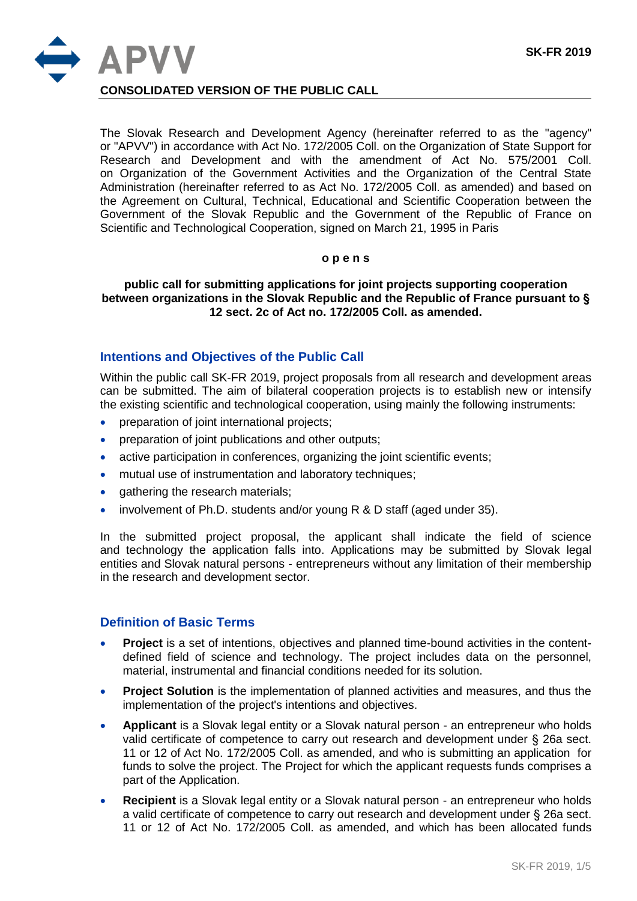

**CONSOLIDATED VERSION OF THE PUBLIC CALL**

The Slovak Research and Development Agency (hereinafter referred to as the "agency" or "APVV") in accordance with Act No. 172/2005 Coll. on the Organization of State Support for Research and Development and with the amendment of Act No. 575/2001 Coll. on Organization of the Government Activities and the Organization of the Central State Administration (hereinafter referred to as Act No. 172/2005 Coll. as amended) and based on the Agreement on Cultural, Technical, Educational and Scientific Cooperation between the Government of the Slovak Republic and the Government of the Republic of France on Scientific and Technological Cooperation, signed on March 21, 1995 in Paris

#### **o p e n s**

### **public call for submitting applications for joint projects supporting cooperation between organizations in the Slovak Republic and the Republic of France pursuant to § 12 sect. 2c of Act no. 172/2005 Coll. as amended.**

### **Intentions and Objectives of the Public Call**

Within the public call SK-FR 2019, project proposals from all research and development areas can be submitted. The aim of bilateral cooperation projects is to establish new or intensify the existing scientific and technological cooperation, using mainly the following instruments:

- preparation of joint international projects;
- preparation of joint publications and other outputs;
- active participation in conferences, organizing the joint scientific events;
- mutual use of instrumentation and laboratory techniques;
- gathering the research materials;
- involvement of Ph.D. students and/or young R & D staff (aged under 35).

In the submitted project proposal, the applicant shall indicate the field of science and technology the application falls into. Applications may be submitted by Slovak legal entities and Slovak natural persons - entrepreneurs without any limitation of their membership in the research and development sector.

#### **Definition of Basic Terms**

- Project is a set of intentions, objectives and planned time-bound activities in the contentdefined field of science and technology. The project includes data on the personnel, material, instrumental and financial conditions needed for its solution.
- **Project Solution** is the implementation of planned activities and measures, and thus the implementation of the project's intentions and objectives.
- **Applicant** is a Slovak legal entity or a Slovak natural person an entrepreneur who holds valid certificate of competence to carry out research and development under § 26a sect. 11 or 12 of Act No. 172/2005 Coll. as amended, and who is submitting an application for funds to solve the project. The Project for which the applicant requests funds comprises a part of the Application.
- **Recipient** is a Slovak legal entity or a Slovak natural person an entrepreneur who holds a valid certificate of competence to carry out research and development under § 26a sect. 11 or 12 of Act No. 172/2005 Coll. as amended, and which has been allocated funds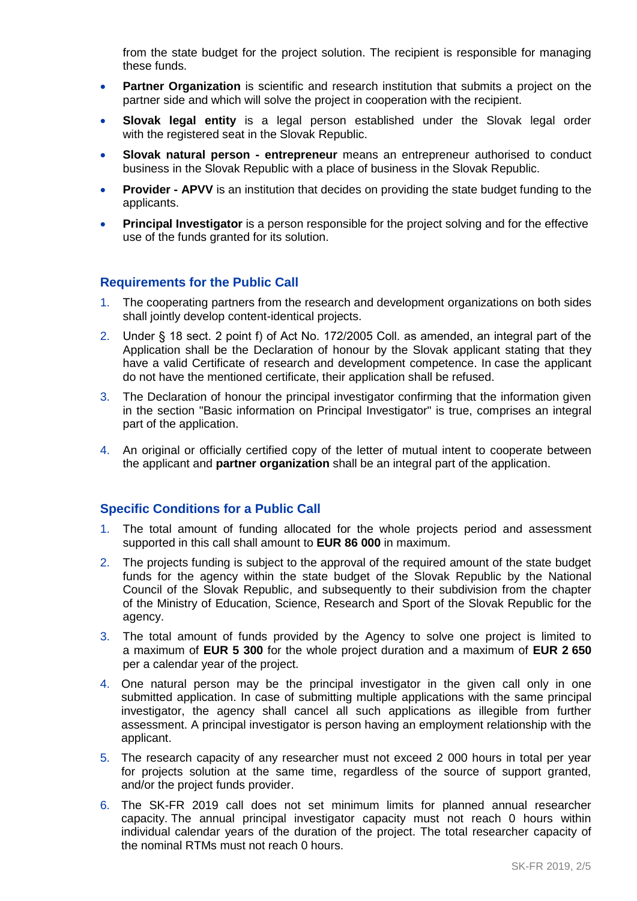from the state budget for the project solution. The recipient is responsible for managing these funds.

- **Partner Organization** is scientific and research institution that submits a project on the partner side and which will solve the project in cooperation with the recipient.
- **Slovak legal entity** is a legal person established under the Slovak legal order with the registered seat in the Slovak Republic.
- **Slovak natural person - entrepreneur** means an entrepreneur authorised to conduct business in the Slovak Republic with a place of business in the Slovak Republic.
- **Provider - APVV** is an institution that decides on providing the state budget funding to the applicants.
- **Principal Investigator** is a person responsible for the project solving and for the effective use of the funds granted for its solution.

## **Requirements for the Public Call**

- 1. The cooperating partners from the research and development organizations on both sides shall jointly develop content-identical projects.
- 2. Under § 18 sect. 2 point f) of Act No. 172/2005 Coll. as amended, an integral part of the Application shall be the Declaration of honour by the Slovak applicant stating that they have a valid Certificate of research and development competence. In case the applicant do not have the mentioned certificate, their application shall be refused.
- 3. The Declaration of honour the principal investigator confirming that the information given in the section "Basic information on Principal Investigator" is true, comprises an integral part of the application.
- 4. An original or officially certified copy of the letter of mutual intent to cooperate between the applicant and **partner organization** shall be an integral part of the application.

### **Specific Conditions for a Public Call**

- 1. The total amount of funding allocated for the whole projects period and assessment supported in this call shall amount to **EUR 86 000** in maximum.
- 2. The projects funding is subject to the approval of the required amount of the state budget funds for the agency within the state budget of the Slovak Republic by the National Council of the Slovak Republic, and subsequently to their subdivision from the chapter of the Ministry of Education, Science, Research and Sport of the Slovak Republic for the agency.
- 3. The total amount of funds provided by the Agency to solve one project is limited to a maximum of **EUR 5 300** for the whole project duration and a maximum of **EUR 2 650** per a calendar year of the project.
- 4. One natural person may be the principal investigator in the given call only in one submitted application. In case of submitting multiple applications with the same principal investigator, the agency shall cancel all such applications as illegible from further assessment. A principal investigator is person having an employment relationship with the applicant.
- 5. The research capacity of any researcher must not exceed 2 000 hours in total per year for projects solution at the same time, regardless of the source of support granted, and/or the project funds provider.
- 6. The SK-FR 2019 call does not set minimum limits for planned annual researcher capacity. The annual principal investigator capacity must not reach 0 hours within individual calendar years of the duration of the project. The total researcher capacity of the nominal RTMs must not reach 0 hours.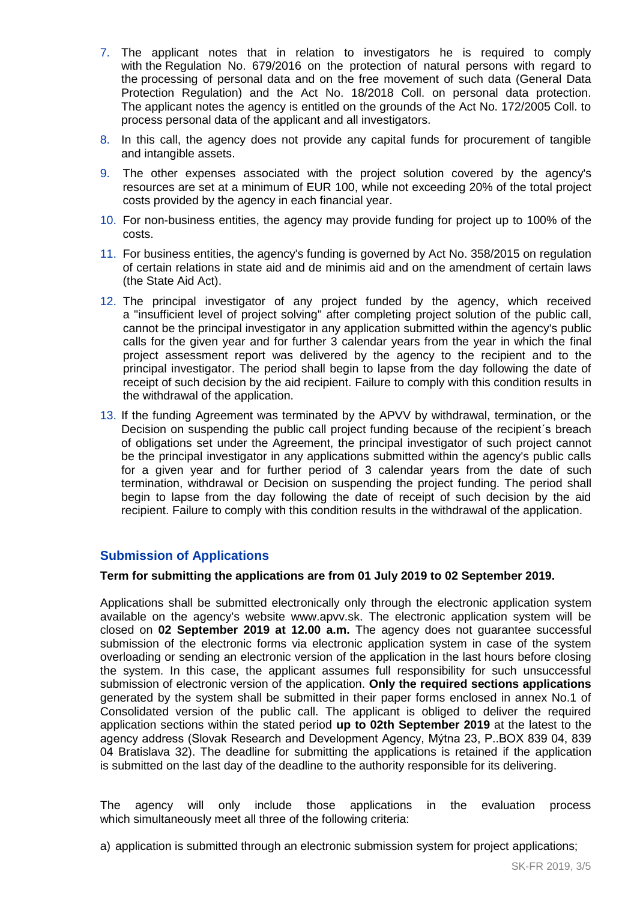- 7. The applicant notes that in relation to investigators he is required to comply with the Regulation No. 679/2016 on the protection of natural persons with regard to the processing of personal data and on the free movement of such data (General Data Protection Regulation) and the Act No. 18/2018 Coll. on personal data protection. The applicant notes the agency is entitled on the grounds of the Act No. 172/2005 Coll. to process personal data of the applicant and all investigators.
- 8. In this call, the agency does not provide any capital funds for procurement of tangible and intangible assets.
- 9. The other expenses associated with the project solution covered by the agency's resources are set at a minimum of EUR 100, while not exceeding 20% of the total project costs provided by the agency in each financial year.
- 10. For non-business entities, the agency may provide funding for project up to 100% of the costs.
- 11. For business entities, the agency's funding is governed by Act No. 358/2015 on regulation of certain relations in state aid and de minimis aid and on the amendment of certain laws (the State Aid Act).
- 12. The principal investigator of any project funded by the agency, which received a "insufficient level of project solving" after completing project solution of the public call, cannot be the principal investigator in any application submitted within the agency's public calls for the given year and for further 3 calendar years from the year in which the final project assessment report was delivered by the agency to the recipient and to the principal investigator. The period shall begin to lapse from the day following the date of receipt of such decision by the aid recipient. Failure to comply with this condition results in the withdrawal of the application.
- 13. If the funding Agreement was terminated by the APVV by withdrawal, termination, or the Decision on suspending the public call project funding because of the recipient´s breach of obligations set under the Agreement, the principal investigator of such project cannot be the principal investigator in any applications submitted within the agency's public calls for a given year and for further period of 3 calendar years from the date of such termination, withdrawal or Decision on suspending the project funding. The period shall begin to lapse from the day following the date of receipt of such decision by the aid recipient. Failure to comply with this condition results in the withdrawal of the application.

## **Submission of Applications**

#### **Term for submitting the applications are from 01 July 2019 to 02 September 2019.**

Applications shall be submitted electronically only through the electronic application system available on the agency's website www.apvv.sk. The electronic application system will be closed on **02 September 2019 at 12.00 a.m.** The agency does not guarantee successful submission of the electronic forms via electronic application system in case of the system overloading or sending an electronic version of the application in the last hours before closing the system. In this case, the applicant assumes full responsibility for such unsuccessful submission of electronic version of the application. **Only the required sections applications** generated by the system shall be submitted in their paper forms enclosed in annex No.1 of Consolidated version of the public call. The applicant is obliged to deliver the required application sections within the stated period **up to 02th September 2019** at the latest to the agency address (Slovak Research and Development Agency, Mýtna 23, P..BOX 839 04, 839 04 Bratislava 32). The deadline for submitting the applications is retained if the application is submitted on the last day of the deadline to the authority responsible for its delivering.

The agency will only include those applications in the evaluation process which simultaneously meet all three of the following criteria:

a) application is submitted through an electronic submission system for project applications;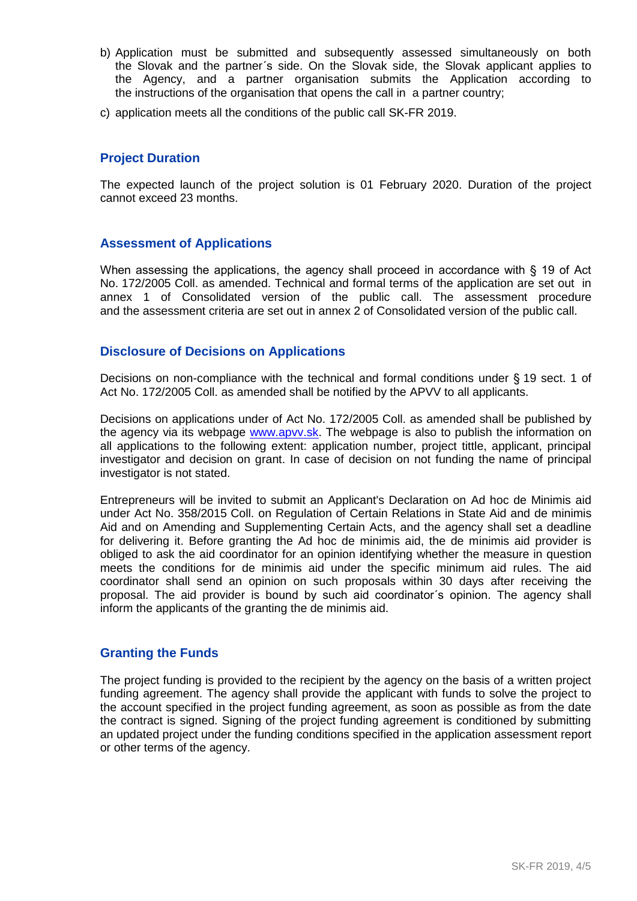- b) Application must be submitted and subsequently assessed simultaneously on both the Slovak and the partner´s side. On the Slovak side, the Slovak applicant applies to the Agency, and a partner organisation submits the Application according to the instructions of the organisation that opens the call in a partner country;
- c) application meets all the conditions of the public call SK-FR 2019.

## **Project Duration**

The expected launch of the project solution is 01 February 2020. Duration of the project cannot exceed 23 months.

## **Assessment of Applications**

When assessing the applications, the agency shall proceed in accordance with § 19 of Act No. 172/2005 Coll. as amended. Technical and formal terms of the application are set out in annex 1 of Consolidated version of the public call. The assessment procedure and the assessment criteria are set out in annex 2 of Consolidated version of the public call.

## **Disclosure of Decisions on Applications**

Decisions on non-compliance with the technical and formal conditions under § 19 sect. 1 of Act No. 172/2005 Coll. as amended shall be notified by the APVV to all applicants.

Decisions on applications under of Act No. 172/2005 Coll. as amended shall be published by the agency via its webpage [www.apvv.sk.](http://www.apvv.sk/) The webpage is also to publish the information on all applications to the following extent: application number, project tittle, applicant, principal investigator and decision on grant. In case of decision on not funding the name of principal investigator is not stated.

Entrepreneurs will be invited to submit an Applicant's Declaration on Ad hoc de Minimis aid under Act No. 358/2015 Coll. on Regulation of Certain Relations in State Aid and de minimis Aid and on Amending and Supplementing Certain Acts, and the agency shall set a deadline for delivering it. Before granting the Ad hoc de minimis aid, the de minimis aid provider is obliged to ask the aid coordinator for an opinion identifying whether the measure in question meets the conditions for de minimis aid under the specific minimum aid rules. The aid coordinator shall send an opinion on such proposals within 30 days after receiving the proposal. The aid provider is bound by such aid coordinator´s opinion. The agency shall inform the applicants of the granting the de minimis aid.

## **Granting the Funds**

The project funding is provided to the recipient by the agency on the basis of a written project funding agreement. The agency shall provide the applicant with funds to solve the project to the account specified in the project funding agreement, as soon as possible as from the date the contract is signed. Signing of the project funding agreement is conditioned by submitting an updated project under the funding conditions specified in the application assessment report or other terms of the agency.